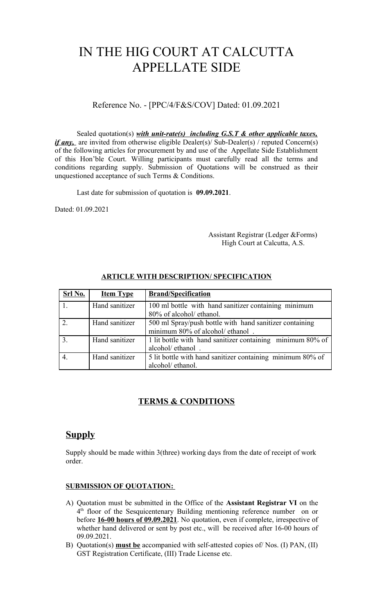# IN THE HIG COURT AT CALCUTTA APPELLATE SIDE

Reference No. - [PPC/4/F&S/COV] Dated: 01.09.2021

Sealed quotation(s) *with unit-rate(s) including G.S.T & other applicable taxes, if any*, are invited from otherwise eligible Dealer(s)/ Sub-Dealer(s) / reputed Concern(s) of the following articles for procurement by and use of the Appellate Side Establishment of this Hon'ble Court. Willing participants must carefully read all the terms and conditions regarding supply. Submission of Quotations will be construed as their unquestioned acceptance of such Terms & Conditions.

Last date for submission of quotation is **09.09.2021**.

Dated: 01.09.2021

 Assistant Registrar (Ledger &Forms) High Court at Calcutta, A.S.

| Srl No. | <b>Item Type</b> | <b>Brand/Specification</b>                                                                  |
|---------|------------------|---------------------------------------------------------------------------------------------|
|         | Hand sanitizer   | 100 ml bottle with hand sanitizer containing minimum<br>80% of alcohol/ ethanol.            |
|         | Hand sanitizer   | 500 ml Spray/push bottle with hand sanitizer containing<br>minimum 80% of alcohol/ ethanol. |
|         | Hand sanitizer   | 1 lit bottle with hand sanitizer containing minimum 80% of<br>alcohol/ ethanol.             |
|         | Hand sanitizer   | 5 lit bottle with hand sanitizer containing minimum 80% of<br>alcohol/ ethanol.             |

### **ARTICLE WITH DESCRIPTION/ SPECIFICATION**

# **TERMS & CONDITIONS**

# **Supply**

Supply should be made within 3(three) working days from the date of receipt of work order.

#### **SUBMISSION OF QUOTATION:**

- A) Quotation must be submitted in the Office of the **Assistant Registrar VI** on the 4<sup>th</sup> floor of the Sesquicentenary Building mentioning reference number on or before **16-00 hours of 09.09.2021**. No quotation, even if complete, irrespective of whether hand delivered or sent by post etc., will be received after 16-00 hours of 09.09.2021.
- B) Quotation(s) **must be** accompanied with self-attested copies of/ Nos. (I) PAN, (II) GST Registration Certificate, (III) Trade License etc.